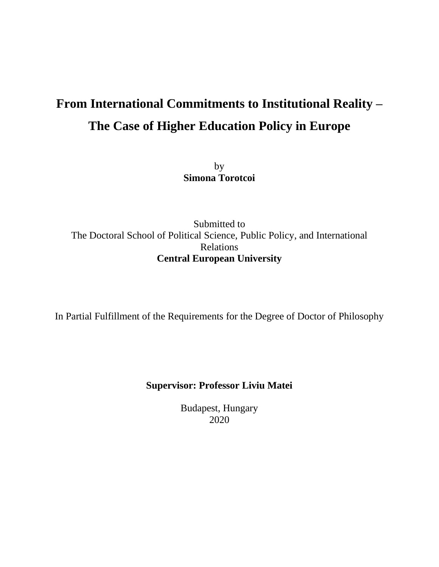# **From International Commitments to Institutional Reality – The Case of Higher Education Policy in Europe**

by **Simona Torotcoi**

Submitted to The Doctoral School of Political Science, Public Policy, and International Relations **Central European University**

In Partial Fulfillment of the Requirements for the Degree of Doctor of Philosophy

### **Supervisor: Professor Liviu Matei**

Budapest, Hungary 2020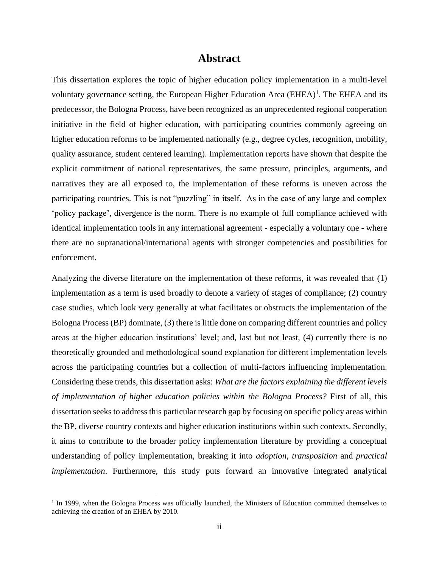### **Abstract**

This dissertation explores the topic of higher education policy implementation in a multi-level voluntary governance setting, the European Higher Education Area  $(EHEA)^1$ . The EHEA and its predecessor, the Bologna Process, have been recognized as an unprecedented regional cooperation initiative in the field of higher education, with participating countries commonly agreeing on higher education reforms to be implemented nationally (e.g., degree cycles, recognition, mobility, quality assurance, student centered learning). Implementation reports have shown that despite the explicit commitment of national representatives, the same pressure, principles, arguments, and narratives they are all exposed to, the implementation of these reforms is uneven across the participating countries. This is not "puzzling" in itself. As in the case of any large and complex 'policy package', divergence is the norm. There is no example of full compliance achieved with identical implementation tools in any international agreement - especially a voluntary one - where there are no supranational/international agents with stronger competencies and possibilities for enforcement.

Analyzing the diverse literature on the implementation of these reforms, it was revealed that (1) implementation as a term is used broadly to denote a variety of stages of compliance; (2) country case studies, which look very generally at what facilitates or obstructs the implementation of the Bologna Process (BP) dominate, (3) there is little done on comparing different countries and policy areas at the higher education institutions' level; and, last but not least, (4) currently there is no theoretically grounded and methodological sound explanation for different implementation levels across the participating countries but a collection of multi-factors influencing implementation. Considering these trends, this dissertation asks: *What are the factors explaining the different levels of implementation of higher education policies within the Bologna Process?* First of all, this dissertation seeks to address this particular research gap by focusing on specific policy areas within the BP, diverse country contexts and higher education institutions within such contexts. Secondly, it aims to contribute to the broader policy implementation literature by providing a conceptual understanding of policy implementation, breaking it into *adoption*, *transposition* and *practical implementation*. Furthermore, this study puts forward an innovative integrated analytical

<sup>&</sup>lt;sup>1</sup> In 1999, when the Bologna Process was officially launched, the Ministers of Education committed themselves to achieving the creation of an EHEA by 2010.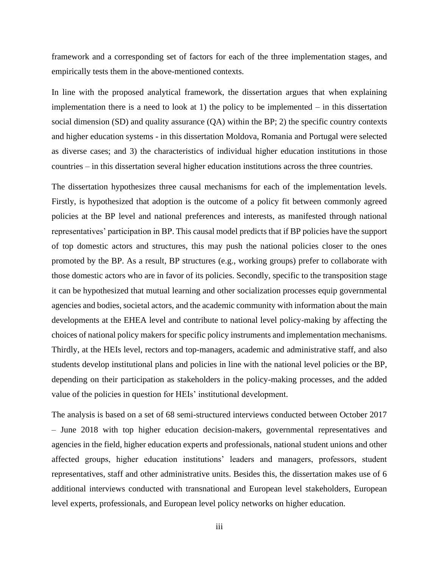framework and a corresponding set of factors for each of the three implementation stages, and empirically tests them in the above-mentioned contexts.

In line with the proposed analytical framework, the dissertation argues that when explaining implementation there is a need to look at 1) the policy to be implemented – in this dissertation social dimension (SD) and quality assurance (QA) within the BP; 2) the specific country contexts and higher education systems - in this dissertation Moldova, Romania and Portugal were selected as diverse cases; and 3) the characteristics of individual higher education institutions in those countries – in this dissertation several higher education institutions across the three countries.

The dissertation hypothesizes three causal mechanisms for each of the implementation levels. Firstly, is hypothesized that adoption is the outcome of a policy fit between commonly agreed policies at the BP level and national preferences and interests, as manifested through national representatives' participation in BP. This causal model predicts that if BP policies have the support of top domestic actors and structures, this may push the national policies closer to the ones promoted by the BP. As a result, BP structures (e.g., working groups) prefer to collaborate with those domestic actors who are in favor of its policies. Secondly, specific to the transposition stage it can be hypothesized that mutual learning and other socialization processes equip governmental agencies and bodies, societal actors, and the academic community with information about the main developments at the EHEA level and contribute to national level policy-making by affecting the choices of national policy makers for specific policy instruments and implementation mechanisms. Thirdly, at the HEIs level, rectors and top-managers, academic and administrative staff, and also students develop institutional plans and policies in line with the national level policies or the BP, depending on their participation as stakeholders in the policy-making processes, and the added value of the policies in question for HEIs' institutional development.

The analysis is based on a set of 68 semi-structured interviews conducted between October 2017 – June 2018 with top higher education decision-makers, governmental representatives and agencies in the field, higher education experts and professionals, national student unions and other affected groups, higher education institutions' leaders and managers, professors, student representatives, staff and other administrative units. Besides this, the dissertation makes use of 6 additional interviews conducted with transnational and European level stakeholders, European level experts, professionals, and European level policy networks on higher education.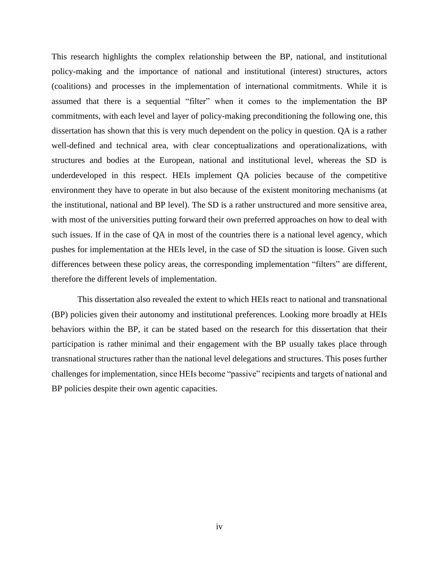This research highlights the complex relationship between the BP, national, and institutional policy-making and the importance of national and institutional (interest) structures, actors (coalitions) and processes in the implementation of international commitments. While it is assumed that there is a sequential "filter" when it comes to the implementation the BP commitments, with each level and layer of policy-making preconditioning the following one, this dissertation has shown that this is very much dependent on the policy in question. QA is a rather well-defined and technical area, with clear conceptualizations and operationalizations, with structures and bodies at the European, national and institutional level, whereas the SD is underdeveloped in this respect. HEIs implement QA policies because of the competitive environment they have to operate in but also because of the existent monitoring mechanisms (at the institutional, national and BP level). The SD is a rather unstructured and more sensitive area, with most of the universities putting forward their own preferred approaches on how to deal with such issues. If in the case of QA in most of the countries there is a national level agency, which pushes for implementation at the HEIs level, in the case of SD the situation is loose. Given such differences between these policy areas, the corresponding implementation "filters" are different, therefore the different levels of implementation.

This dissertation also revealed the extent to which HEIs react to national and transnational (BP) policies given their autonomy and institutional preferences. Looking more broadly at HEIs behaviors within the BP, it can be stated based on the research for this dissertation that their participation is rather minimal and their engagement with the BP usually takes place through transnational structures rather than the national level delegations and structures. This poses further challenges for implementation, since HEIs become "passive" recipients and targets of national and BP policies despite their own agentic capacities.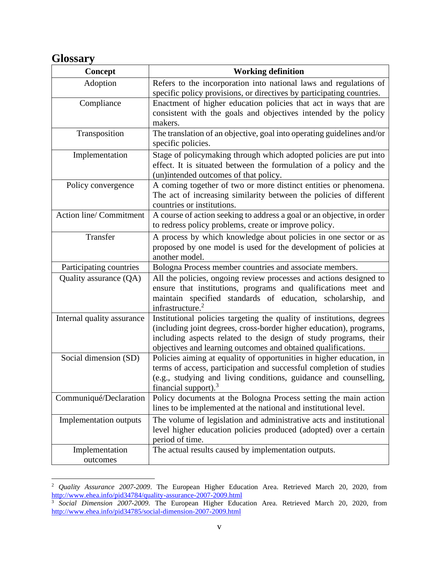# **Glossary**

| <b>Concept</b>             | <b>Working definition</b>                                                                                                                                                                                                                                                         |
|----------------------------|-----------------------------------------------------------------------------------------------------------------------------------------------------------------------------------------------------------------------------------------------------------------------------------|
| Adoption                   | Refers to the incorporation into national laws and regulations of<br>specific policy provisions, or directives by participating countries.                                                                                                                                        |
| Compliance                 | Enactment of higher education policies that act in ways that are<br>consistent with the goals and objectives intended by the policy<br>makers.                                                                                                                                    |
| Transposition              | The translation of an objective, goal into operating guidelines and/or<br>specific policies.                                                                                                                                                                                      |
| Implementation             | Stage of policymaking through which adopted policies are put into<br>effect. It is situated between the formulation of a policy and the<br>(un)intended outcomes of that policy.                                                                                                  |
| Policy convergence         | A coming together of two or more distinct entities or phenomena.<br>The act of increasing similarity between the policies of different<br>countries or institutions.                                                                                                              |
| Action line/Commitment     | A course of action seeking to address a goal or an objective, in order<br>to redress policy problems, create or improve policy.                                                                                                                                                   |
| Transfer                   | A process by which knowledge about policies in one sector or as<br>proposed by one model is used for the development of policies at<br>another model.                                                                                                                             |
| Participating countries    | Bologna Process member countries and associate members.                                                                                                                                                                                                                           |
| Quality assurance (QA)     | All the policies, ongoing review processes and actions designed to<br>ensure that institutions, programs and qualifications meet and<br>maintain specified standards of education, scholarship,<br>and<br>infrastructure. <sup>2</sup>                                            |
| Internal quality assurance | Institutional policies targeting the quality of institutions, degrees<br>(including joint degrees, cross-border higher education), programs,<br>including aspects related to the design of study programs, their<br>objectives and learning outcomes and obtained qualifications. |
| Social dimension (SD)      | Policies aiming at equality of opportunities in higher education, in<br>terms of access, participation and successful completion of studies<br>(e.g., studying and living conditions, guidance and counselling,<br>financial support). $\frac{3}{2}$                              |
| Communiqué/Declaration     | Policy documents at the Bologna Process setting the main action<br>lines to be implemented at the national and institutional level.                                                                                                                                               |
| Implementation outputs     | The volume of legislation and administrative acts and institutional<br>level higher education policies produced (adopted) over a certain<br>period of time.                                                                                                                       |
| Implementation<br>outcomes | The actual results caused by implementation outputs.                                                                                                                                                                                                                              |

<sup>&</sup>lt;sup>2</sup> Quality Assurance 2007-2009. The European Higher Education Area. Retrieved March 20, 2020, from <http://www.ehea.info/pid34784/quality-assurance-2007-2009.html>

<sup>3</sup> *Social Dimension 2007-2009.* The European Higher Education Area. Retrieved March 20, 2020, from <http://www.ehea.info/pid34785/social-dimension-2007-2009.html>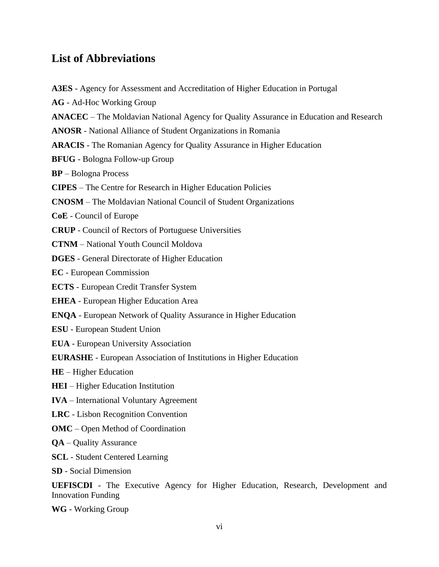## **List of Abbreviations**

**A3ES** - Agency for Assessment and Accreditation of Higher Education in Portugal **AG** - Ad-Hoc Working Group **ANACEC** – The Moldavian National Agency for Quality Assurance in Education and Research **ANOSR** - National Alliance of Student Organizations in Romania **ARACIS** - The Romanian Agency for Quality Assurance in Higher Education **BFUG** - Bologna Follow-up Group **BP** – Bologna Process **CIPES** – The Centre for Research in Higher Education Policies **CNOSM** – The Moldavian National Council of Student Organizations **CoE** - Council of Europe **CRUP** - Council of Rectors of Portuguese Universities **CTNM** – National Youth Council Moldova **DGES** - General Directorate of Higher Education **EC** - European Commission **ECTS** - European Credit Transfer System **EHEA** - European Higher Education Area **ENQA** - European Network of Quality Assurance in Higher Education **ESU** - European Student Union **EUA** - European University Association **EURASHE** - European Association of Institutions in Higher Education **HE** – Higher Education **HEI** – Higher Education Institution **IVA** – International Voluntary Agreement **LRC** - Lisbon Recognition Convention **OMC** – Open Method of Coordination **QA** – Quality Assurance **SCL** - Student Centered Learning **SD** - Social Dimension

**UEFISCDI** - The Executive Agency for Higher Education, Research, Development and Innovation Funding

**WG** - Working Group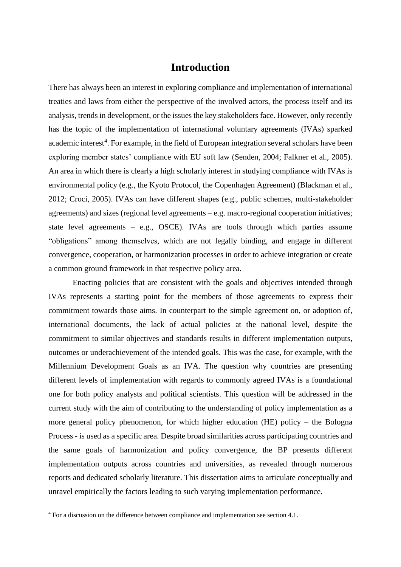### **Introduction**

There has always been an interest in exploring compliance and implementation of international treaties and laws from either the perspective of the involved actors, the process itself and its analysis, trends in development, or the issues the key stakeholders face. However, only recently has the topic of the implementation of international voluntary agreements (IVAs) sparked academic interest<sup>4</sup>. For example, in the field of European integration several scholars have been exploring member states' compliance with EU soft law (Senden, 2004; Falkner et al., 2005). An area in which there is clearly a high scholarly interest in studying compliance with IVAs is environmental policy (e.g., the Kyoto Protocol, the Copenhagen Agreement) (Blackman et al., 2012; Croci, 2005). IVAs can have different shapes (e.g., public schemes, multi-stakeholder agreements) and sizes (regional level agreements – e.g. macro-regional cooperation initiatives; state level agreements – e.g., OSCE). IVAs are tools through which parties assume "obligations" among themselves, which are not legally binding, and engage in different convergence, cooperation, or harmonization processes in order to achieve integration or create a common ground framework in that respective policy area.

Enacting policies that are consistent with the goals and objectives intended through IVAs represents a starting point for the members of those agreements to express their commitment towards those aims. In counterpart to the simple agreement on, or adoption of, international documents, the lack of actual policies at the national level, despite the commitment to similar objectives and standards results in different implementation outputs, outcomes or underachievement of the intended goals. This was the case, for example, with the Millennium Development Goals as an IVA. The question why countries are presenting different levels of implementation with regards to commonly agreed IVAs is a foundational one for both policy analysts and political scientists. This question will be addressed in the current study with the aim of contributing to the understanding of policy implementation as a more general policy phenomenon, for which higher education (HE) policy – the Bologna Process - is used as a specific area. Despite broad similarities across participating countries and the same goals of harmonization and policy convergence, the BP presents different implementation outputs across countries and universities, as revealed through numerous reports and dedicated scholarly literature. This dissertation aims to articulate conceptually and unravel empirically the factors leading to such varying implementation performance.

<sup>&</sup>lt;sup>4</sup> For a discussion on the difference between compliance and implementation see section 4.1.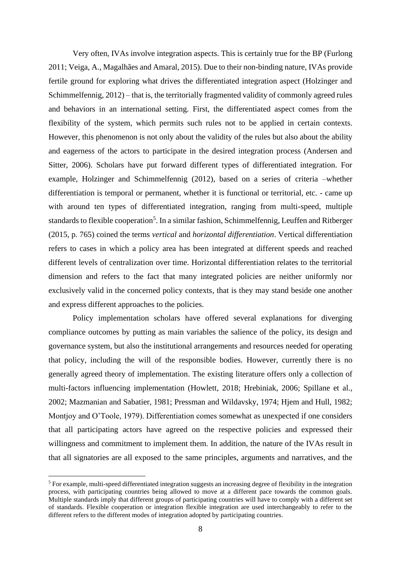Very often, IVAs involve integration aspects. This is certainly true for the BP (Furlong 2011; Veiga, A., Magalhães and Amaral, 2015). Due to their non-binding nature, IVAs provide fertile ground for exploring what drives the differentiated integration aspect (Holzinger and Schimmelfennig, 2012) – that is, the territorially fragmented validity of commonly agreed rules and behaviors in an international setting. First, the differentiated aspect comes from the flexibility of the system, which permits such rules not to be applied in certain contexts. However, this phenomenon is not only about the validity of the rules but also about the ability and eagerness of the actors to participate in the desired integration process (Andersen and Sitter, 2006). Scholars have put forward different types of differentiated integration. For example, Holzinger and Schimmelfennig (2012), based on a series of criteria –whether differentiation is temporal or permanent, whether it is functional or territorial, etc. - came up with around ten types of differentiated integration, ranging from multi-speed, multiple standards to flexible cooperation<sup>5</sup>. In a similar fashion, Schimmelfennig, Leuffen and Ritberger (2015, p. 765) coined the terms *vertical* and *horizontal differentiation*. Vertical differentiation refers to cases in which a policy area has been integrated at different speeds and reached different levels of centralization over time. Horizontal differentiation relates to the territorial dimension and refers to the fact that many integrated policies are neither uniformly nor exclusively valid in the concerned policy contexts, that is they may stand beside one another and express different approaches to the policies.

Policy implementation scholars have offered several explanations for diverging compliance outcomes by putting as main variables the salience of the policy, its design and governance system, but also the institutional arrangements and resources needed for operating that policy, including the will of the responsible bodies. However, currently there is no generally agreed theory of implementation. The existing literature offers only a collection of multi-factors influencing implementation (Howlett, 2018; Hrebiniak, 2006; Spillane et al., 2002; Mazmanian and Sabatier, 1981; Pressman and Wildavsky, 1974; Hjem and Hull, 1982; Montjoy and O'Toole, 1979). Differentiation comes somewhat as unexpected if one considers that all participating actors have agreed on the respective policies and expressed their willingness and commitment to implement them. In addition, the nature of the IVAs result in that all signatories are all exposed to the same principles, arguments and narratives, and the

<sup>5</sup> For example, multi-speed differentiated integration suggests an increasing degree of flexibility in the integration process, with participating countries being allowed to move at a different pace towards the common goals. Multiple standards imply that different groups of participating countries will have to comply with a different set of standards. Flexible cooperation or integration flexible integration are used interchangeably to refer to the different refers to the different modes of integration adopted by participating countries.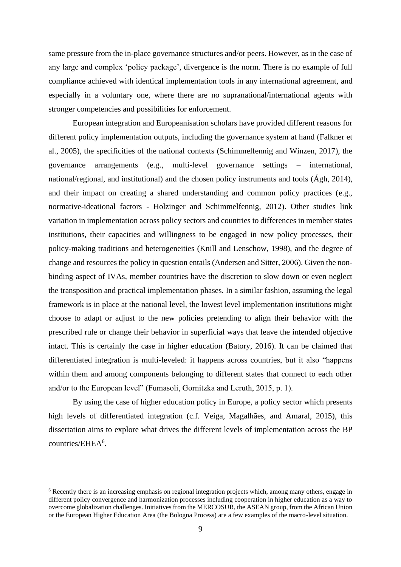same pressure from the in-place governance structures and/or peers. However, as in the case of any large and complex 'policy package', divergence is the norm. There is no example of full compliance achieved with identical implementation tools in any international agreement, and especially in a voluntary one, where there are no supranational/international agents with stronger competencies and possibilities for enforcement.

European integration and Europeanisation scholars have provided different reasons for different policy implementation outputs, including the governance system at hand (Falkner et al., 2005), the specificities of the national contexts (Schimmelfennig and Winzen, 2017), the governance arrangements (e.g., multi-level governance settings – international, national/regional, and institutional) and the chosen policy instruments and tools (Ágh, 2014), and their impact on creating a shared understanding and common policy practices (e.g., normative-ideational factors - Holzinger and Schimmelfennig, 2012). Other studies link variation in implementation across policy sectors and countries to differences in member states institutions, their capacities and willingness to be engaged in new policy processes, their policy-making traditions and heterogeneities (Knill and Lenschow, 1998), and the degree of change and resources the policy in question entails (Andersen and Sitter, 2006). Given the nonbinding aspect of IVAs, member countries have the discretion to slow down or even neglect the transposition and practical implementation phases. In a similar fashion, assuming the legal framework is in place at the national level, the lowest level implementation institutions might choose to adapt or adjust to the new policies pretending to align their behavior with the prescribed rule or change their behavior in superficial ways that leave the intended objective intact. This is certainly the case in higher education (Batory, 2016). It can be claimed that differentiated integration is multi-leveled: it happens across countries, but it also "happens within them and among components belonging to different states that connect to each other and/or to the European level" (Fumasoli, Gornitzka and Leruth, 2015, p. 1).

By using the case of higher education policy in Europe, a policy sector which presents high levels of differentiated integration (c.f. Veiga, Magalhães, and Amaral, 2015), this dissertation aims to explore what drives the different levels of implementation across the BP countries/EHEA<sup>6</sup>.

<sup>6</sup> Recently there is an increasing emphasis on regional integration projects which, among many others, engage in different policy convergence and harmonization processes including cooperation in higher education as a way to overcome globalization challenges. Initiatives from the MERCOSUR, the ASEAN group, from the African Union or the European Higher Education Area (the Bologna Process) are a few examples of the macro-level situation.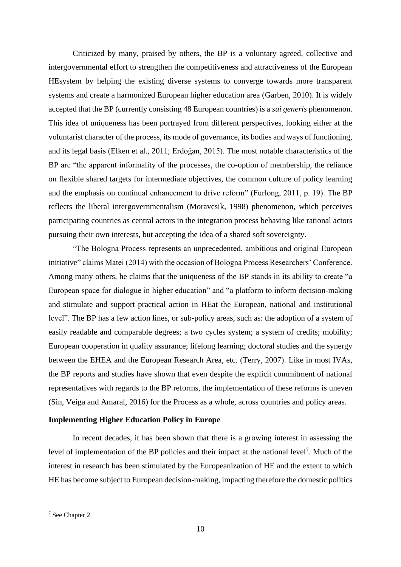Criticized by many, praised by others, the BP is a voluntary agreed, collective and intergovernmental effort to strengthen the competitiveness and attractiveness of the European HEsystem by helping the existing diverse systems to converge towards more transparent systems and create a harmonized European higher education area (Garben, 2010). It is widely accepted that the BP (currently consisting 48 European countries) is a *sui generis* phenomenon. This idea of uniqueness has been portrayed from different perspectives, looking either at the voluntarist character of the process, its mode of governance, its bodies and ways of functioning, and its legal basis (Elken et al., 2011; Erdoğan, 2015). The most notable characteristics of the BP are "the apparent informality of the processes, the co-option of membership, the reliance on flexible shared targets for intermediate objectives, the common culture of policy learning and the emphasis on continual enhancement to drive reform" (Furlong, 2011, p. 19). The BP reflects the liberal intergovernmentalism (Moravcsik, 1998) phenomenon, which perceives participating countries as central actors in the integration process behaving like rational actors pursuing their own interests, but accepting the idea of a shared soft sovereignty.

"The Bologna Process represents an unprecedented, ambitious and original European initiative" claims Matei (2014) with the occasion of Bologna Process Researchers' Conference. Among many others, he claims that the uniqueness of the BP stands in its ability to create "a European space for dialogue in higher education" and "a platform to inform decision-making and stimulate and support practical action in HEat the European, national and institutional level". The BP has a few action lines, or sub-policy areas, such as: the adoption of a system of easily readable and comparable degrees; a two cycles system; a system of credits; mobility; European cooperation in quality assurance; lifelong learning; doctoral studies and the synergy between the EHEA and the European Research Area, etc. (Terry, 2007). Like in most IVAs, the BP reports and studies have shown that even despite the explicit commitment of national representatives with regards to the BP reforms, the implementation of these reforms is uneven (Sin, Veiga and Amaral, 2016) for the Process as a whole, across countries and policy areas.

#### **Implementing Higher Education Policy in Europe**

In recent decades, it has been shown that there is a growing interest in assessing the level of implementation of the BP policies and their impact at the national level<sup>7</sup>. Much of the interest in research has been stimulated by the Europeanization of HE and the extent to which HE has become subject to European decision-making, impacting therefore the domestic politics

<sup>7</sup> See Chapter 2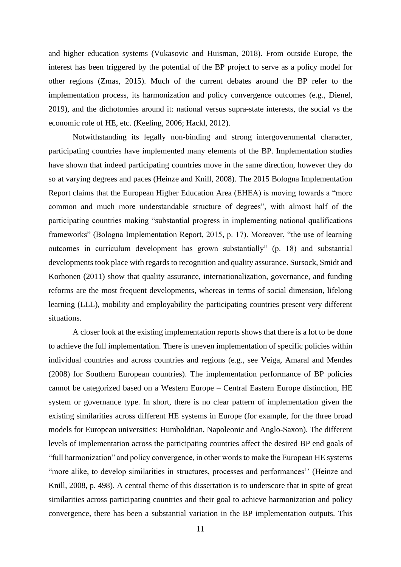and higher education systems (Vukasovic and Huisman, 2018). From outside Europe, the interest has been triggered by the potential of the BP project to serve as a policy model for other regions (Zmas, 2015). Much of the current debates around the BP refer to the implementation process, its harmonization and policy convergence outcomes (e.g., Dienel, 2019), and the dichotomies around it: national versus supra-state interests, the social vs the economic role of HE, etc. (Keeling, 2006; Hackl, 2012).

Notwithstanding its legally non-binding and strong intergovernmental character, participating countries have implemented many elements of the BP. Implementation studies have shown that indeed participating countries move in the same direction, however they do so at varying degrees and paces (Heinze and Knill, 2008). The 2015 Bologna Implementation Report claims that the European Higher Education Area (EHEA) is moving towards a "more common and much more understandable structure of degrees", with almost half of the participating countries making "substantial progress in implementing national qualifications frameworks" (Bologna Implementation Report, 2015, p. 17). Moreover, "the use of learning outcomes in curriculum development has grown substantially" (p. 18) and substantial developments took place with regards to recognition and quality assurance. Sursock, Smidt and Korhonen (2011) show that quality assurance, internationalization, governance, and funding reforms are the most frequent developments, whereas in terms of social dimension, lifelong learning (LLL), mobility and employability the participating countries present very different situations.

A closer look at the existing implementation reports shows that there is a lot to be done to achieve the full implementation. There is uneven implementation of specific policies within individual countries and across countries and regions (e.g., see Veiga, Amaral and Mendes (2008) for Southern European countries). The implementation performance of BP policies cannot be categorized based on a Western Europe – Central Eastern Europe distinction, HE system or governance type. In short, there is no clear pattern of implementation given the existing similarities across different HE systems in Europe (for example, for the three broad models for European universities: Humboldtian, Napoleonic and Anglo-Saxon). The different levels of implementation across the participating countries affect the desired BP end goals of "full harmonization" and policy convergence, in other words to make the European HE systems "more alike, to develop similarities in structures, processes and performances'' (Heinze and Knill, 2008, p. 498). A central theme of this dissertation is to underscore that in spite of great similarities across participating countries and their goal to achieve harmonization and policy convergence, there has been a substantial variation in the BP implementation outputs. This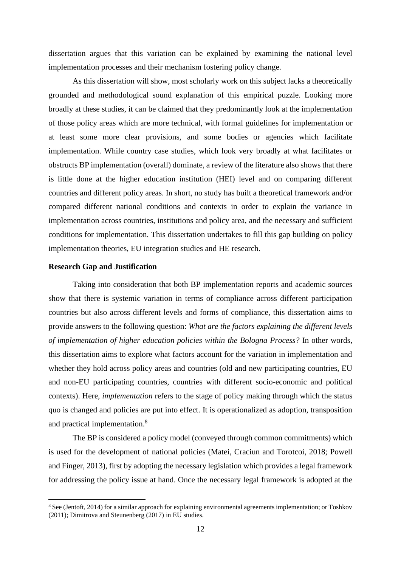dissertation argues that this variation can be explained by examining the national level implementation processes and their mechanism fostering policy change.

As this dissertation will show, most scholarly work on this subject lacks a theoretically grounded and methodological sound explanation of this empirical puzzle. Looking more broadly at these studies, it can be claimed that they predominantly look at the implementation of those policy areas which are more technical, with formal guidelines for implementation or at least some more clear provisions, and some bodies or agencies which facilitate implementation. While country case studies, which look very broadly at what facilitates or obstructs BP implementation (overall) dominate, a review of the literature also shows that there is little done at the higher education institution (HEI) level and on comparing different countries and different policy areas. In short, no study has built a theoretical framework and/or compared different national conditions and contexts in order to explain the variance in implementation across countries, institutions and policy area, and the necessary and sufficient conditions for implementation. This dissertation undertakes to fill this gap building on policy implementation theories, EU integration studies and HE research.

#### **Research Gap and Justification**

Taking into consideration that both BP implementation reports and academic sources show that there is systemic variation in terms of compliance across different participation countries but also across different levels and forms of compliance, this dissertation aims to provide answers to the following question: *What are the factors explaining the different levels of implementation of higher education policies within the Bologna Process?* In other words, this dissertation aims to explore what factors account for the variation in implementation and whether they hold across policy areas and countries (old and new participating countries, EU and non-EU participating countries, countries with different socio-economic and political contexts). Here, *implementation* refers to the stage of policy making through which the status quo is changed and policies are put into effect. It is operationalized as adoption, transposition and practical implementation. 8

The BP is considered a policy model (conveyed through common commitments) which is used for the development of national policies (Matei, Craciun and Torotcoi, 2018; Powell and Finger, 2013), first by adopting the necessary legislation which provides a legal framework for addressing the policy issue at hand. Once the necessary legal framework is adopted at the

<sup>&</sup>lt;sup>8</sup> See (Jentoft, 2014) for a similar approach for explaining environmental agreements implementation; or Toshkov (2011); Dimitrova and Steunenberg (2017) in EU studies.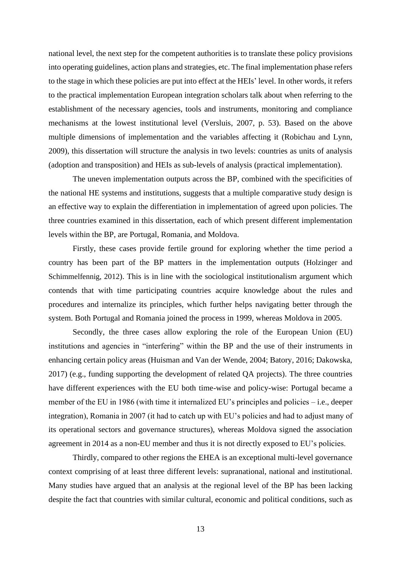national level, the next step for the competent authorities is to translate these policy provisions into operating guidelines, action plans and strategies, etc. The final implementation phase refers to the stage in which these policies are put into effect at the HEIs' level. In other words, it refers to the practical implementation European integration scholars talk about when referring to the establishment of the necessary agencies, tools and instruments, monitoring and compliance mechanisms at the lowest institutional level (Versluis, 2007, p. 53). Based on the above multiple dimensions of implementation and the variables affecting it (Robichau and Lynn, 2009), this dissertation will structure the analysis in two levels: countries as units of analysis (adoption and transposition) and HEIs as sub-levels of analysis (practical implementation).

The uneven implementation outputs across the BP, combined with the specificities of the national HE systems and institutions, suggests that a multiple comparative study design is an effective way to explain the differentiation in implementation of agreed upon policies. The three countries examined in this dissertation, each of which present different implementation levels within the BP, are Portugal, Romania, and Moldova.

Firstly, these cases provide fertile ground for exploring whether the time period a country has been part of the BP matters in the implementation outputs (Holzinger and Schimmelfennig, 2012). This is in line with the sociological institutionalism argument which contends that with time participating countries acquire knowledge about the rules and procedures and internalize its principles, which further helps navigating better through the system. Both Portugal and Romania joined the process in 1999, whereas Moldova in 2005.

Secondly, the three cases allow exploring the role of the European Union (EU) institutions and agencies in "interfering" within the BP and the use of their instruments in enhancing certain policy areas (Huisman and Van der Wende, 2004; Batory, 2016; Dakowska, 2017) (e.g., funding supporting the development of related QA projects). The three countries have different experiences with the EU both time-wise and policy-wise: Portugal became a member of the EU in 1986 (with time it internalized EU's principles and policies – i.e., deeper integration), Romania in 2007 (it had to catch up with EU's policies and had to adjust many of its operational sectors and governance structures), whereas Moldova signed the association agreement in 2014 as a non-EU member and thus it is not directly exposed to EU's policies.

Thirdly, compared to other regions the EHEA is an exceptional multi-level governance context comprising of at least three different levels: supranational, national and institutional. Many studies have argued that an analysis at the regional level of the BP has been lacking despite the fact that countries with similar cultural, economic and political conditions, such as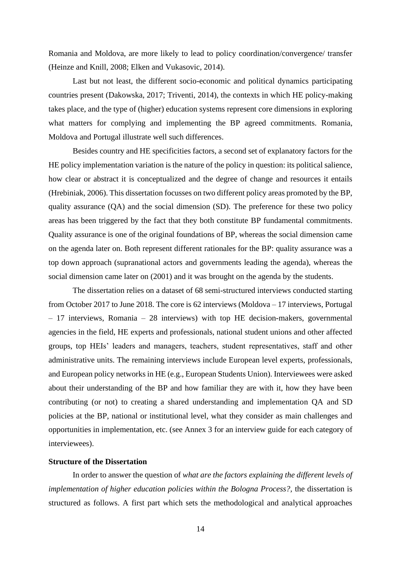Romania and Moldova, are more likely to lead to policy coordination/convergence/ transfer (Heinze and Knill, 2008; Elken and Vukasovic, 2014).

Last but not least, the different socio-economic and political dynamics participating countries present (Dakowska, 2017; Triventi, 2014), the contexts in which HE policy-making takes place, and the type of (higher) education systems represent core dimensions in exploring what matters for complying and implementing the BP agreed commitments. Romania, Moldova and Portugal illustrate well such differences.

Besides country and HE specificities factors, a second set of explanatory factors for the HE policy implementation variation is the nature of the policy in question: its political salience, how clear or abstract it is conceptualized and the degree of change and resources it entails (Hrebiniak, 2006). This dissertation focusses on two different policy areas promoted by the BP, quality assurance (QA) and the social dimension (SD). The preference for these two policy areas has been triggered by the fact that they both constitute BP fundamental commitments. Quality assurance is one of the original foundations of BP, whereas the social dimension came on the agenda later on. Both represent different rationales for the BP: quality assurance was a top down approach (supranational actors and governments leading the agenda), whereas the social dimension came later on (2001) and it was brought on the agenda by the students.

The dissertation relies on a dataset of 68 semi-structured interviews conducted starting from October 2017 to June 2018. The core is 62 interviews (Moldova – 17 interviews, Portugal – 17 interviews, Romania – 28 interviews) with top HE decision-makers, governmental agencies in the field, HE experts and professionals, national student unions and other affected groups, top HEIs' leaders and managers, teachers, student representatives, staff and other administrative units. The remaining interviews include European level experts, professionals, and European policy networks in HE (e.g., European Students Union). Interviewees were asked about their understanding of the BP and how familiar they are with it, how they have been contributing (or not) to creating a shared understanding and implementation QA and SD policies at the BP, national or institutional level, what they consider as main challenges and opportunities in implementation, etc. (see Annex 3 for an interview guide for each category of interviewees).

### **Structure of the Dissertation**

In order to answer the question of *what are the factors explaining the different levels of implementation of higher education policies within the Bologna Process?,* the dissertation is structured as follows. A first part which sets the methodological and analytical approaches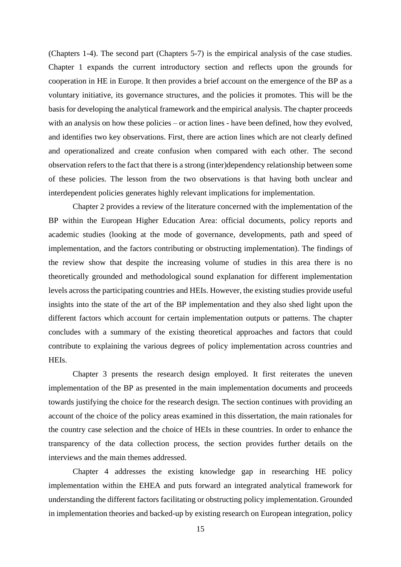(Chapters 1-4). The second part (Chapters 5-7) is the empirical analysis of the case studies. Chapter 1 expands the current introductory section and reflects upon the grounds for cooperation in HE in Europe. It then provides a brief account on the emergence of the BP as a voluntary initiative, its governance structures, and the policies it promotes. This will be the basis for developing the analytical framework and the empirical analysis. The chapter proceeds with an analysis on how these policies – or action lines - have been defined, how they evolved, and identifies two key observations. First, there are action lines which are not clearly defined and operationalized and create confusion when compared with each other. The second observation refers to the fact that there is a strong (inter)dependency relationship between some of these policies. The lesson from the two observations is that having both unclear and interdependent policies generates highly relevant implications for implementation.

Chapter 2 provides a review of the literature concerned with the implementation of the BP within the European Higher Education Area: official documents, policy reports and academic studies (looking at the mode of governance, developments, path and speed of implementation, and the factors contributing or obstructing implementation). The findings of the review show that despite the increasing volume of studies in this area there is no theoretically grounded and methodological sound explanation for different implementation levels across the participating countries and HEIs. However, the existing studies provide useful insights into the state of the art of the BP implementation and they also shed light upon the different factors which account for certain implementation outputs or patterns. The chapter concludes with a summary of the existing theoretical approaches and factors that could contribute to explaining the various degrees of policy implementation across countries and HEIs.

Chapter 3 presents the research design employed. It first reiterates the uneven implementation of the BP as presented in the main implementation documents and proceeds towards justifying the choice for the research design. The section continues with providing an account of the choice of the policy areas examined in this dissertation, the main rationales for the country case selection and the choice of HEIs in these countries. In order to enhance the transparency of the data collection process, the section provides further details on the interviews and the main themes addressed.

Chapter 4 addresses the existing knowledge gap in researching HE policy implementation within the EHEA and puts forward an integrated analytical framework for understanding the different factors facilitating or obstructing policy implementation. Grounded in implementation theories and backed-up by existing research on European integration, policy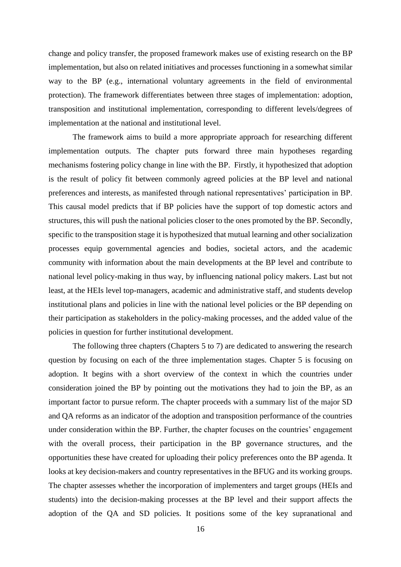change and policy transfer, the proposed framework makes use of existing research on the BP implementation, but also on related initiatives and processes functioning in a somewhat similar way to the BP (e.g., international voluntary agreements in the field of environmental protection). The framework differentiates between three stages of implementation: adoption, transposition and institutional implementation, corresponding to different levels/degrees of implementation at the national and institutional level.

The framework aims to build a more appropriate approach for researching different implementation outputs. The chapter puts forward three main hypotheses regarding mechanisms fostering policy change in line with the BP. Firstly, it hypothesized that adoption is the result of policy fit between commonly agreed policies at the BP level and national preferences and interests, as manifested through national representatives' participation in BP. This causal model predicts that if BP policies have the support of top domestic actors and structures, this will push the national policies closer to the ones promoted by the BP. Secondly, specific to the transposition stage it is hypothesized that mutual learning and other socialization processes equip governmental agencies and bodies, societal actors, and the academic community with information about the main developments at the BP level and contribute to national level policy-making in thus way, by influencing national policy makers. Last but not least, at the HEIs level top-managers, academic and administrative staff, and students develop institutional plans and policies in line with the national level policies or the BP depending on their participation as stakeholders in the policy-making processes, and the added value of the policies in question for further institutional development.

The following three chapters (Chapters 5 to 7) are dedicated to answering the research question by focusing on each of the three implementation stages. Chapter 5 is focusing on adoption. It begins with a short overview of the context in which the countries under consideration joined the BP by pointing out the motivations they had to join the BP, as an important factor to pursue reform. The chapter proceeds with a summary list of the major SD and QA reforms as an indicator of the adoption and transposition performance of the countries under consideration within the BP. Further, the chapter focuses on the countries' engagement with the overall process, their participation in the BP governance structures, and the opportunities these have created for uploading their policy preferences onto the BP agenda. It looks at key decision-makers and country representatives in the BFUG and its working groups. The chapter assesses whether the incorporation of implementers and target groups (HEIs and students) into the decision-making processes at the BP level and their support affects the adoption of the QA and SD policies. It positions some of the key supranational and